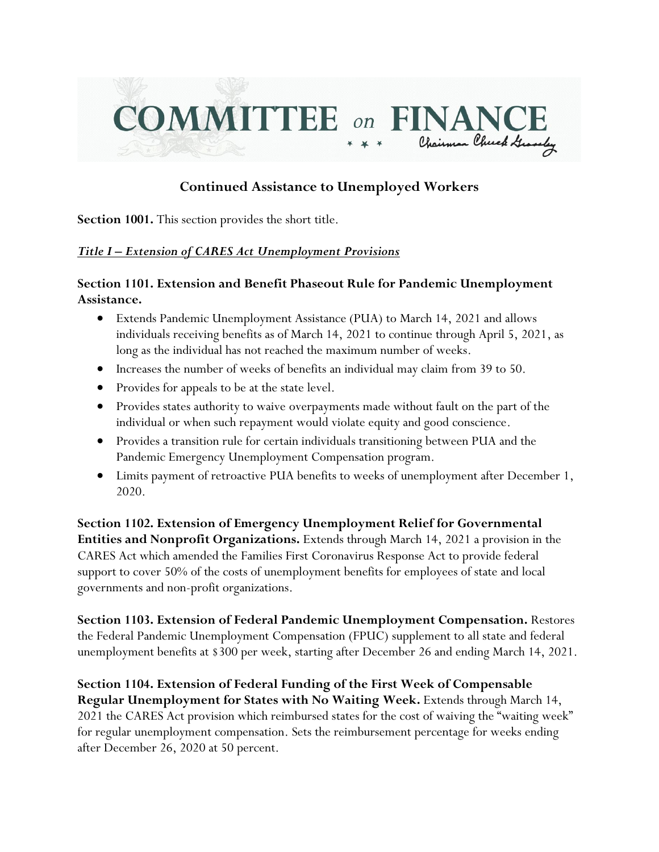

# **Continued Assistance to Unemployed Workers**

**Section 1001.** This section provides the short title.

#### *Title I – Extension of CARES Act Unemployment Provisions*

### **Section 1101. Extension and Benefit Phaseout Rule for Pandemic Unemployment Assistance.**

- Extends Pandemic Unemployment Assistance (PUA) to March 14, 2021 and allows individuals receiving benefits as of March 14, 2021 to continue through April 5, 2021, as long as the individual has not reached the maximum number of weeks.
- Increases the number of weeks of benefits an individual may claim from 39 to 50.
- Provides for appeals to be at the state level.
- Provides states authority to waive overpayments made without fault on the part of the individual or when such repayment would violate equity and good conscience.
- Provides a transition rule for certain individuals transitioning between PUA and the Pandemic Emergency Unemployment Compensation program.
- Limits payment of retroactive PUA benefits to weeks of unemployment after December 1, 2020.

**Section 1102. Extension of Emergency Unemployment Relief for Governmental Entities and Nonprofit Organizations.** Extends through March 14, 2021 a provision in the CARES Act which amended the Families First Coronavirus Response Act to provide federal support to cover 50% of the costs of unemployment benefits for employees of state and local governments and non-profit organizations.

**Section 1103. Extension of Federal Pandemic Unemployment Compensation.** Restores the Federal Pandemic Unemployment Compensation (FPUC) supplement to all state and federal unemployment benefits at \$300 per week, starting after December 26 and ending March 14, 2021.

**Section 1104. Extension of Federal Funding of the First Week of Compensable Regular Unemployment for States with No Waiting Week.** Extends through March 14, 2021 the CARES Act provision which reimbursed states for the cost of waiving the "waiting week" for regular unemployment compensation. Sets the reimbursement percentage for weeks ending after December 26, 2020 at 50 percent.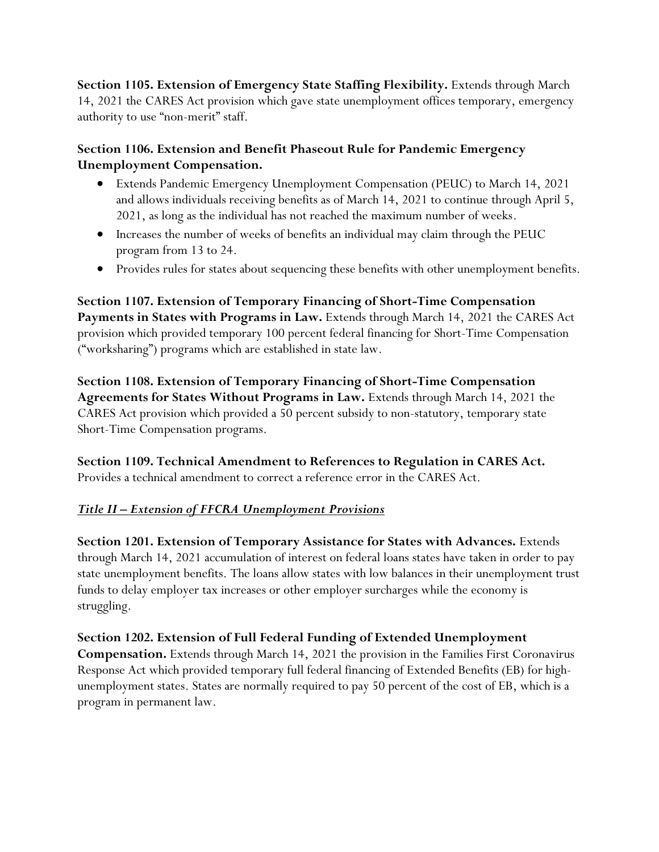**Section 1105. Extension of Emergency State Staffing Flexibility.** Extends through March 14, 2021 the CARES Act provision which gave state unemployment offices temporary, emergency authority to use "non-merit" staff.

# **Section 1106. Extension and Benefit Phaseout Rule for Pandemic Emergency Unemployment Compensation.**

- Extends Pandemic Emergency Unemployment Compensation (PEUC) to March 14, 2021 and allows individuals receiving benefits as of March 14, 2021 to continue through April 5, 2021, as long as the individual has not reached the maximum number of weeks.
- Increases the number of weeks of benefits an individual may claim through the PEUC program from 13 to 24.
- Provides rules for states about sequencing these benefits with other unemployment benefits.

**Section 1107. Extension of Temporary Financing of Short-Time Compensation Payments in States with Programs in Law.** Extends through March 14, 2021 the CARES Act provision which provided temporary 100 percent federal financing for Short-Time Compensation ("worksharing") programs which are established in state law.

**Section 1108. Extension of Temporary Financing of Short-Time Compensation Agreements for States Without Programs in Law.** Extends through March 14, 2021 the CARES Act provision which provided a 50 percent subsidy to non-statutory, temporary state Short-Time Compensation programs.

**Section 1109. Technical Amendment to References to Regulation in CARES Act.** Provides a technical amendment to correct a reference error in the CARES Act.

# *Title II – Extension of FFCRA Unemployment Provisions*

**Section 1201. Extension of Temporary Assistance for States with Advances.** Extends through March 14, 2021 accumulation of interest on federal loans states have taken in order to pay state unemployment benefits. The loans allow states with low balances in their unemployment trust funds to delay employer tax increases or other employer surcharges while the economy is struggling.

**Section 1202. Extension of Full Federal Funding of Extended Unemployment Compensation.** Extends through March 14, 2021 the provision in the Families First Coronavirus Response Act which provided temporary full federal financing of Extended Benefits (EB) for highunemployment states. States are normally required to pay 50 percent of the cost of EB, which is a program in permanent law.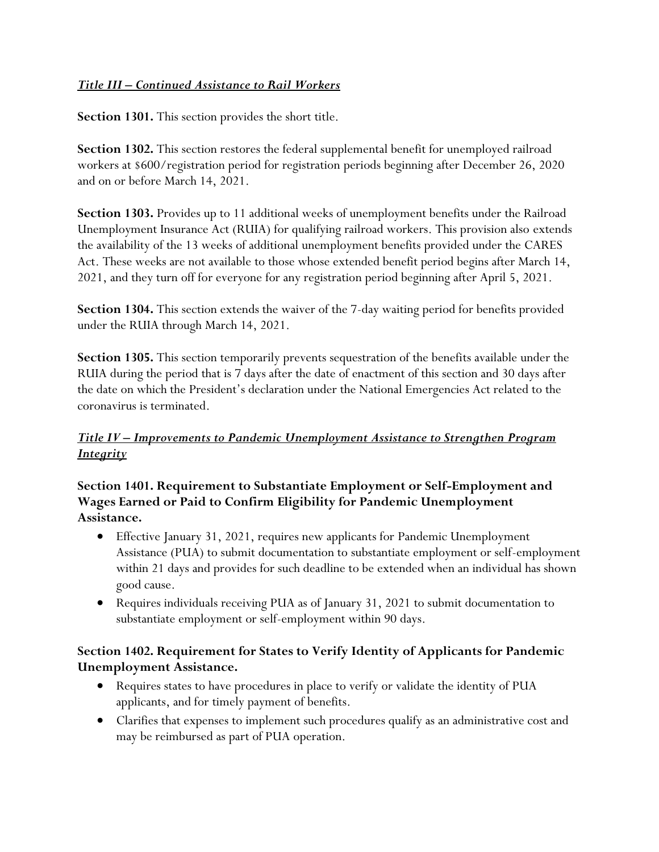#### *Title III – Continued Assistance to Rail Workers*

**Section 1301.** This section provides the short title.

**Section 1302.** This section restores the federal supplemental benefit for unemployed railroad workers at \$600/registration period for registration periods beginning after December 26, 2020 and on or before March 14, 2021.

**Section 1303.** Provides up to 11 additional weeks of unemployment benefits under the Railroad Unemployment Insurance Act (RUIA) for qualifying railroad workers. This provision also extends the availability of the 13 weeks of additional unemployment benefits provided under the CARES Act. These weeks are not available to those whose extended benefit period begins after March 14, 2021, and they turn off for everyone for any registration period beginning after April 5, 2021.

**Section 1304.** This section extends the waiver of the 7-day waiting period for benefits provided under the RUIA through March 14, 2021.

**Section 1305.** This section temporarily prevents sequestration of the benefits available under the RUIA during the period that is 7 days after the date of enactment of this section and 30 days after the date on which the President's declaration under the National Emergencies Act related to the coronavirus is terminated.

# *Title IV – Improvements to Pandemic Unemployment Assistance to Strengthen Program Integrity*

# **Section 1401. Requirement to Substantiate Employment or Self-Employment and Wages Earned or Paid to Confirm Eligibility for Pandemic Unemployment Assistance.**

- Effective January 31, 2021, requires new applicants for Pandemic Unemployment Assistance (PUA) to submit documentation to substantiate employment or self-employment within 21 days and provides for such deadline to be extended when an individual has shown good cause.
- Requires individuals receiving PUA as of January 31, 2021 to submit documentation to substantiate employment or self-employment within 90 days.

# **Section 1402. Requirement for States to Verify Identity of Applicants for Pandemic Unemployment Assistance.**

- Requires states to have procedures in place to verify or validate the identity of PUA applicants, and for timely payment of benefits.
- Clarifies that expenses to implement such procedures qualify as an administrative cost and may be reimbursed as part of PUA operation.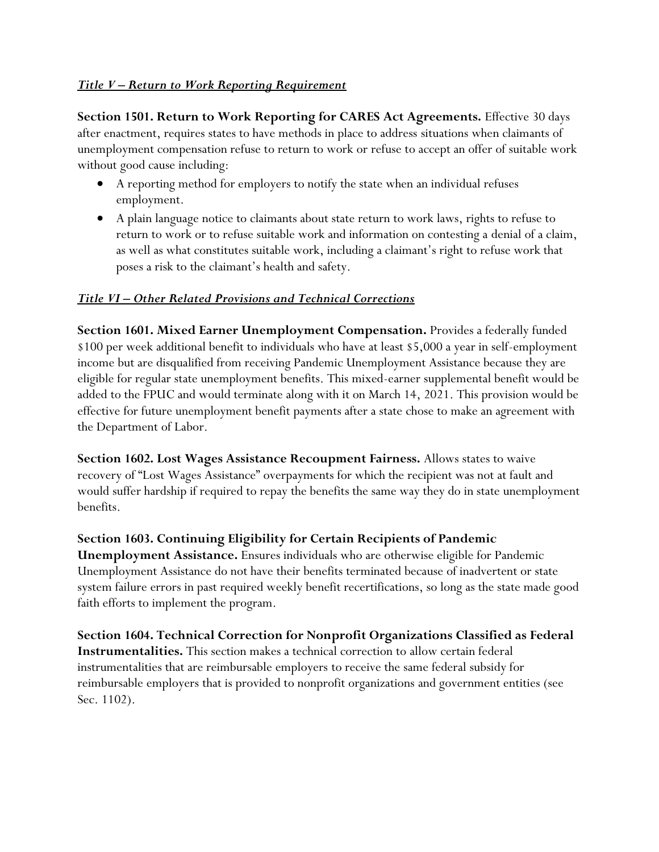#### *Title V – Return to Work Reporting Requirement*

**Section 1501. Return to Work Reporting for CARES Act Agreements.** Effective 30 days after enactment, requires states to have methods in place to address situations when claimants of unemployment compensation refuse to return to work or refuse to accept an offer of suitable work without good cause including:

- A reporting method for employers to notify the state when an individual refuses employment.
- A plain language notice to claimants about state return to work laws, rights to refuse to return to work or to refuse suitable work and information on contesting a denial of a claim, as well as what constitutes suitable work, including a claimant's right to refuse work that poses a risk to the claimant's health and safety.

### *Title VI – Other Related Provisions and Technical Corrections*

**Section 1601. Mixed Earner Unemployment Compensation.** Provides a federally funded \$100 per week additional benefit to individuals who have at least \$5,000 a year in self-employment income but are disqualified from receiving Pandemic Unemployment Assistance because they are eligible for regular state unemployment benefits. This mixed-earner supplemental benefit would be added to the FPUC and would terminate along with it on March 14, 2021. This provision would be effective for future unemployment benefit payments after a state chose to make an agreement with the Department of Labor.

**Section 1602. Lost Wages Assistance Recoupment Fairness.** Allows states to waive recovery of "Lost Wages Assistance" overpayments for which the recipient was not at fault and would suffer hardship if required to repay the benefits the same way they do in state unemployment benefits.

#### **Section 1603. Continuing Eligibility for Certain Recipients of Pandemic**

**Unemployment Assistance.** Ensures individuals who are otherwise eligible for Pandemic Unemployment Assistance do not have their benefits terminated because of inadvertent or state system failure errors in past required weekly benefit recertifications, so long as the state made good faith efforts to implement the program.

**Section 1604. Technical Correction for Nonprofit Organizations Classified as Federal Instrumentalities.** This section makes a technical correction to allow certain federal instrumentalities that are reimbursable employers to receive the same federal subsidy for reimbursable employers that is provided to nonprofit organizations and government entities (see Sec. 1102).